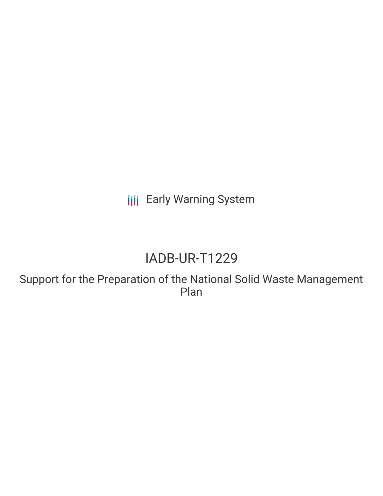**III** Early Warning System

# IADB-UR-T1229

Support for the Preparation of the National Solid Waste Management Plan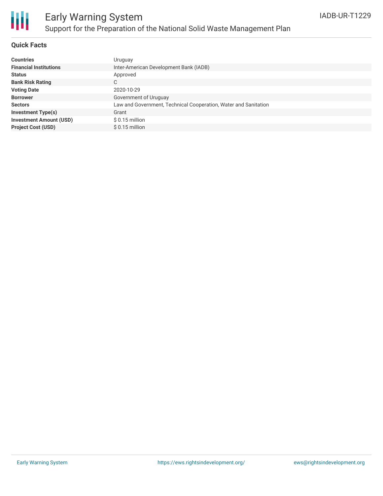

#### **Quick Facts**

| <b>Countries</b>               | Uruguay                                                         |
|--------------------------------|-----------------------------------------------------------------|
| <b>Financial Institutions</b>  | Inter-American Development Bank (IADB)                          |
| <b>Status</b>                  | Approved                                                        |
| <b>Bank Risk Rating</b>        | C                                                               |
| <b>Voting Date</b>             | 2020-10-29                                                      |
| <b>Borrower</b>                | Government of Uruguay                                           |
| <b>Sectors</b>                 | Law and Government, Technical Cooperation, Water and Sanitation |
| <b>Investment Type(s)</b>      | Grant                                                           |
| <b>Investment Amount (USD)</b> | $$0.15$ million                                                 |
| <b>Project Cost (USD)</b>      | $$0.15$ million                                                 |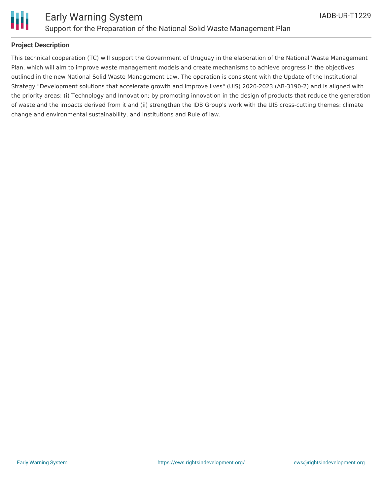

Ш

#### **Project Description**

This technical cooperation (TC) will support the Government of Uruguay in the elaboration of the National Waste Management Plan, which will aim to improve waste management models and create mechanisms to achieve progress in the objectives outlined in the new National Solid Waste Management Law. The operation is consistent with the Update of the Institutional Strategy "Development solutions that accelerate growth and improve lives" (UIS) 2020-2023 (AB-3190-2) and is aligned with the priority areas: (i) Technology and Innovation; by promoting innovation in the design of products that reduce the generation of waste and the impacts derived from it and (ii) strengthen the IDB Group's work with the UIS cross-cutting themes: climate change and environmental sustainability, and institutions and Rule of law.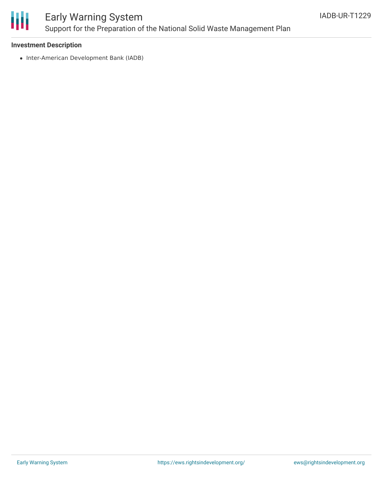

## Early Warning System Support for the Preparation of the National Solid Waste Management Plan

#### **Investment Description**

• Inter-American Development Bank (IADB)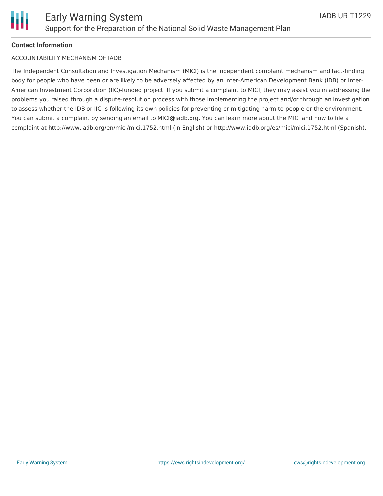

#### **Contact Information**

#### ACCOUNTABILITY MECHANISM OF IADB

The Independent Consultation and Investigation Mechanism (MICI) is the independent complaint mechanism and fact-finding body for people who have been or are likely to be adversely affected by an Inter-American Development Bank (IDB) or Inter-American Investment Corporation (IIC)-funded project. If you submit a complaint to MICI, they may assist you in addressing the problems you raised through a dispute-resolution process with those implementing the project and/or through an investigation to assess whether the IDB or IIC is following its own policies for preventing or mitigating harm to people or the environment. You can submit a complaint by sending an email to MICI@iadb.org. You can learn more about the MICI and how to file a complaint at http://www.iadb.org/en/mici/mici,1752.html (in English) or http://www.iadb.org/es/mici/mici,1752.html (Spanish).